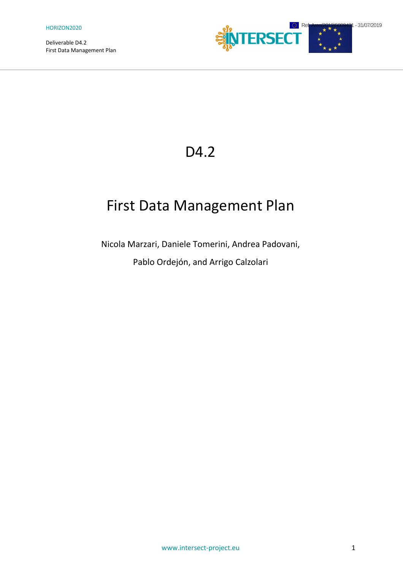Deliverable D4.2



## D<sub>4.2</sub>

# First Data Management Plan

Nicola Marzari, Daniele Tomerini, Andrea Padovani,

Pablo Ordejón, and Arrigo Calzolari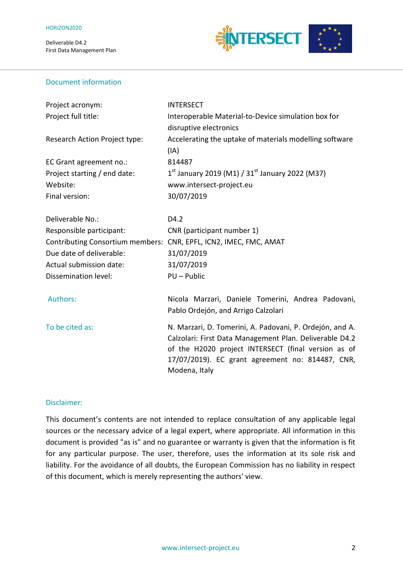

## Document information

| Project acronym:                                                  | <b>INTERSECT</b>                                         |  |
|-------------------------------------------------------------------|----------------------------------------------------------|--|
| Project full title:                                               | Interoperable Material-to-Device simulation box for      |  |
|                                                                   | disruptive electronics                                   |  |
| Research Action Project type:                                     | Accelerating the uptake of materials modelling software  |  |
|                                                                   | (IA)                                                     |  |
| EC Grant agreement no.:                                           | 814487                                                   |  |
| Project starting / end date:                                      | $1^{st}$ January 2019 (M1) / 31st January 2022 (M37)     |  |
| Website:                                                          | www.intersect-project.eu                                 |  |
| Final version:                                                    | 30/07/2019                                               |  |
| Deliverable No.:                                                  | D4.2                                                     |  |
| Responsible participant:                                          | CNR (participant number 1)                               |  |
| Contributing Consortium members: CNR, EPFL, ICN2, IMEC, FMC, AMAT |                                                          |  |
| Due date of deliverable:                                          | 31/07/2019                                               |  |
| Actual submission date:                                           | 31/07/2019                                               |  |
| Dissemination level:                                              | PU - Public                                              |  |
| Authors:                                                          | Nicola Marzari, Daniele Tomerini, Andrea Padovani,       |  |
|                                                                   | Pablo Ordejón, and Arrigo Calzolari                      |  |
| To be cited as:                                                   | N. Marzari, D. Tomerini, A. Padovani, P. Ordejón, and A. |  |
|                                                                   | Calzolari: First Data Management Plan. Deliverable D4.2  |  |
|                                                                   | of the H2020 project INTERSECT (final version as of      |  |
|                                                                   | 17/07/2019). EC grant agreement no: 814487, CNR,         |  |
|                                                                   | Modena, Italy                                            |  |

### Disclaimer:

This document's contents are not intended to replace consultation of any applicable legal sources or the necessary advice of a legal expert, where appropriate. All information in this document is provided "as is" and no guarantee or warranty is given that the information is fit for any particular purpose. The user, therefore, uses the information at its sole risk and liability. For the avoidance of all doubts, the European Commission has no liability in respect of this document, which is merely representing the authors' view.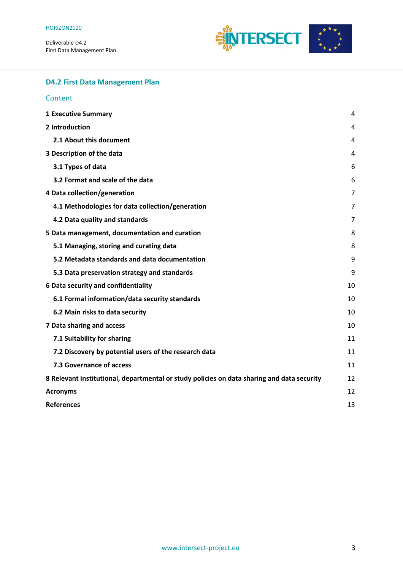Deliverable D4.2



## **D4.2 First Data Management Plan**

#### **Content**

| <b>1 Executive Summary</b>                                                                 | 4  |
|--------------------------------------------------------------------------------------------|----|
| 2 Introduction                                                                             |    |
| 2.1 About this document                                                                    | 4  |
| 3 Description of the data                                                                  |    |
| 3.1 Types of data                                                                          | 6  |
| 3.2 Format and scale of the data                                                           | 6  |
| 4 Data collection/generation                                                               |    |
| 4.1 Methodologies for data collection/generation                                           | 7  |
| 4.2 Data quality and standards                                                             | 7  |
| 5 Data management, documentation and curation                                              |    |
| 5.1 Managing, storing and curating data                                                    | 8  |
| 5.2 Metadata standards and data documentation                                              | 9  |
| 5.3 Data preservation strategy and standards                                               | 9  |
| 6 Data security and confidentiality                                                        |    |
| 6.1 Formal information/data security standards                                             | 10 |
| 6.2 Main risks to data security                                                            | 10 |
| 7 Data sharing and access                                                                  |    |
| 7.1 Suitability for sharing                                                                | 11 |
| 7.2 Discovery by potential users of the research data                                      | 11 |
| 7.3 Governance of access                                                                   | 11 |
| 8 Relevant institutional, departmental or study policies on data sharing and data security |    |
| <b>Acronyms</b>                                                                            |    |
| <b>References</b>                                                                          | 13 |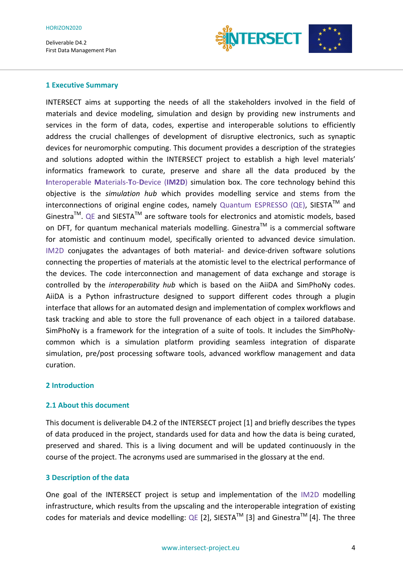

#### **1 Executive Summary**

INTERSECT aims at supporting the needs of all the stakeholders involved in the field of materials and device modeling, simulation and design by providing new instruments and services in the form of data, codes, expertise and interoperable solutions to efficiently address the crucial challenges of development of disruptive electronics, such as synaptic devices for neuromorphic computing. This document provides a description of the strategies and solutions adopted within the INTERSECT project to establish a high level materials' informatics framework to curate, preserve and share all the data produced by the **I**nteroperable **M**aterials-**T**o-**D**evice (**IM2D**) simulation box. The core technology behind this objective is the *simulation hub* which provides modelling service and stems from the  $interconnections$  of original engine codes, namely Quantum ESPRESSO (QE), SIESTA<sup>TM</sup> and Ginestra<sup>TM</sup>. QE and SIESTA<sup>TM</sup> are software tools for electronics and atomistic models, based on DFT, for quantum mechanical materials modelling. Ginestra<sup>TM</sup> is a commercial software for atomistic and continuum model, specifically oriented to advanced device simulation. IM2D conjugates the advantages of both material- and device-driven software solutions connecting the properties of materials at the atomistic level to the electrical performance of the devices. The code interconnection and management of data exchange and storage is controlled by the *interoperability hub* which is based on the AiiDA and SimPhoNy codes. AiiDA is a Python infrastructure designed to support different codes through a plugin interface that allows for an automated design and implementation of complex workflows and task tracking and able to store the full provenance of each object in a tailored database. SimPhoNy is a framework for the integration of a suite of tools. It includes the SimPhoNycommon which is a simulation platform providing seamless integration of disparate simulation, pre/post processing software tools, advanced workflow management and data curation.

### **2 Introduction**

### **2.1 About this document**

This document is deliverable D4.2 of the INTERSECT project [1] and briefly describes the types of data produced in the project, standards used for data and how the data is being curated, preserved and shared. This is a living document and will be updated continuously in the course of the project. The acronyms used are summarised in the glossary at the end.

### **3 Description of the data**

One goal of the INTERSECT project is setup and implementation of the IM2D modelling infrastructure, which results from the upscaling and the interoperable integration of existing codes for materials and device modelling: QE [2], SIESTA<sup>TM</sup> [3] and Ginestra<sup>TM</sup> [4]. The three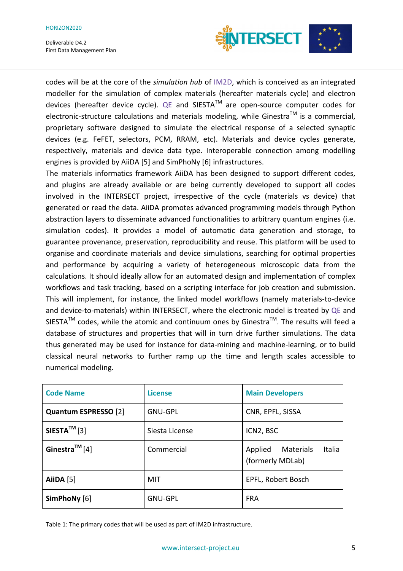#### HORIZON2020

Deliverable D4.2 First Data Management Plan



codes will be at the core of the *simulation hub* of IM2D, which is conceived as an integrated modeller for the simulation of complex materials (hereafter materials cycle) and electron devices (hereafter device cycle). QE and SIESTA<sup>TM</sup> are open-source computer codes for electronic-structure calculations and materials modeling, while Ginestra<sup>TM</sup> is a commercial, proprietary software designed to simulate the electrical response of a selected synaptic devices (e.g. FeFET, selectors, PCM, RRAM, etc). Materials and device cycles generate, respectively, materials and device data type. Interoperable connection among modelling engines is provided by AiiDA [5] and SimPhoNy [6] infrastructures.

The materials informatics framework AiiDA has been designed to support different codes, and plugins are already available or are being currently developed to support all codes involved in the INTERSECT project, irrespective of the cycle (materials vs device) that generated or read the data. AiiDA promotes advanced programming models through Python abstraction layers to disseminate advanced functionalities to arbitrary quantum engines (i.e. simulation codes). It provides a model of automatic data generation and storage, to guarantee provenance, preservation, reproducibility and reuse. This platform will be used to organise and coordinate materials and device simulations, searching for optimal properties and performance by acquiring a variety of heterogeneous microscopic data from the calculations. It should ideally allow for an automated design and implementation of complex workflows and task tracking, based on a scripting interface for job creation and submission. This will implement, for instance, the linked model workflows (namely materials-to-device and device-to-materials) within INTERSECT, where the electronic model is treated by QE and SIESTA<sup>TM</sup> codes, while the atomic and continuum ones by Ginestra<sup>TM</sup>. The results will feed a database of structures and properties that will in turn drive further simulations. The data thus generated may be used for instance for data-mining and machine-learning, or to build classical neural networks to further ramp up the time and length scales accessible to numerical modeling.

| <b>Code Name</b>           | <b>License</b> | <b>Main Developers</b>                          |
|----------------------------|----------------|-------------------------------------------------|
| Quantum ESPRESSO [2]       | <b>GNU-GPL</b> | CNR, EPFL, SISSA                                |
| $SIESTA^{TM}[3]$           | Siesta License | ICN2, BSC                                       |
| Ginestra <sup>TM</sup> [4] | Commercial     | Italia<br>Applied Materials<br>(formerly MDLab) |
| AiiDA $[5]$                | MIT            | EPFL, Robert Bosch                              |
| SimPhoNy [6]               | <b>GNU-GPL</b> | <b>FRA</b>                                      |

Table 1: The primary codes that will be used as part of IM2D infrastructure.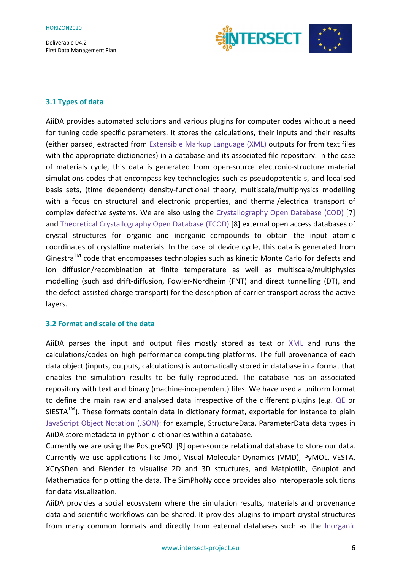

## **3.1 Types of data**

AiiDA provides automated solutions and various plugins for computer codes without a need for tuning code specific parameters. It stores the calculations, their inputs and their results (either parsed, extracted from Extensible Markup Language (XML) outputs for from text files with the appropriate dictionaries) in a database and its associated file repository. In the case of materials cycle, this data is generated from open-source electronic-structure material simulations codes that encompass key technologies such as pseudopotentials, and localised basis sets, (time dependent) density-functional theory, multiscale/multiphysics modelling with a focus on structural and electronic properties, and thermal/electrical transport of complex defective systems. We are also using the Crystallography Open Database (COD) [7] and Theoretical Crystallography Open Database (TCOD) [8] external open access databases of crystal structures for organic and inorganic compounds to obtain the input atomic coordinates of crystalline materials. In the case of device cycle, this data is generated from Ginestra™ code that encompasses technologies such as kinetic Monte Carlo for defects and ion diffusion/recombination at finite temperature as well as multiscale/multiphysics modelling (such asd drift-diffusion, Fowler-Nordheim (FNT) and direct tunnelling (DT), and the defect-assisted charge transport) for the description of carrier transport across the active layers.

### **3.2 Format and scale of the data**

AiiDA parses the input and output files mostly stored as text or XML and runs the calculations/codes on high performance computing platforms. The full provenance of each data object (inputs, outputs, calculations) is automatically stored in database in a format that enables the simulation results to be fully reproduced. The database has an associated repository with text and binary (machine-independent) files. We have used a uniform format to define the main raw and analysed data irrespective of the different plugins (e.g. QE or  $SIESTA^{TM}$ ). These formats contain data in dictionary format, exportable for instance to plain JavaScript Object Notation (JSON): for example, StructureData, ParameterData data types in AiiDA store metadata in python dictionaries within a database.

Currently we are using the PostgreSQL [9] open-source relational database to store our data. Currently we use applications like Jmol, Visual Molecular Dynamics (VMD), PyMOL, VESTA, XCrySDen and Blender to visualise 2D and 3D structures, and Matplotlib, Gnuplot and Mathematica for plotting the data. The SimPhoNy code provides also interoperable solutions for data visualization.

AiiDA provides a social ecosystem where the simulation results, materials and provenance data and scientific workflows can be shared. It provides plugins to import crystal structures from many common formats and directly from external databases such as the Inorganic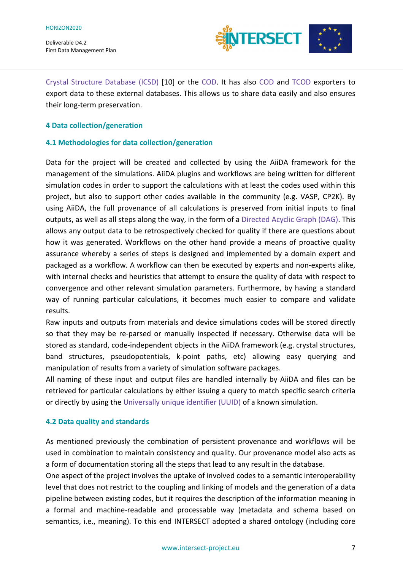

Crystal Structure Database (ICSD) [10] or the COD. It has also COD and TCOD exporters to export data to these external databases. This allows us to share data easily and also ensures their long-term preservation.

### **4 Data collection/generation**

### **4.1 Methodologies for data collection/generation**

Data for the project will be created and collected by using the AiiDA framework for the management of the simulations. AiiDA plugins and workflows are being written for different simulation codes in order to support the calculations with at least the codes used within this project, but also to support other codes available in the community (e.g. VASP, CP2K). By using AiiDA, the full provenance of all calculations is preserved from initial inputs to final outputs, as well as all steps along the way, in the form of a Directed Acyclic Graph (DAG). This allows any output data to be retrospectively checked for quality if there are questions about how it was generated. Workflows on the other hand provide a means of proactive quality assurance whereby a series of steps is designed and implemented by a domain expert and packaged as a workflow. A workflow can then be executed by experts and non-experts alike, with internal checks and heuristics that attempt to ensure the quality of data with respect to convergence and other relevant simulation parameters. Furthermore, by having a standard way of running particular calculations, it becomes much easier to compare and validate results.

Raw inputs and outputs from materials and device simulations codes will be stored directly so that they may be re-parsed or manually inspected if necessary. Otherwise data will be stored as standard, code-independent objects in the AiiDA framework (e.g. crystal structures, band structures, pseudopotentials, k-point paths, etc) allowing easy querying and manipulation of results from a variety of simulation software packages.

All naming of these input and output files are handled internally by AiiDA and files can be retrieved for particular calculations by either issuing a query to match specific search criteria or directly by using the Universally unique identifier (UUID) of a known simulation.

### **4.2 Data quality and standards**

As mentioned previously the combination of persistent provenance and workflows will be used in combination to maintain consistency and quality. Our provenance model also acts as a form of documentation storing all the steps that lead to any result in the database.

One aspect of the project involves the uptake of involved codes to a semantic interoperability level that does not restrict to the coupling and linking of models and the generation of a data pipeline between existing codes, but it requires the description of the information meaning in a formal and machine-readable and processable way (metadata and schema based on semantics, i.e., meaning). To this end INTERSECT adopted a shared ontology (including core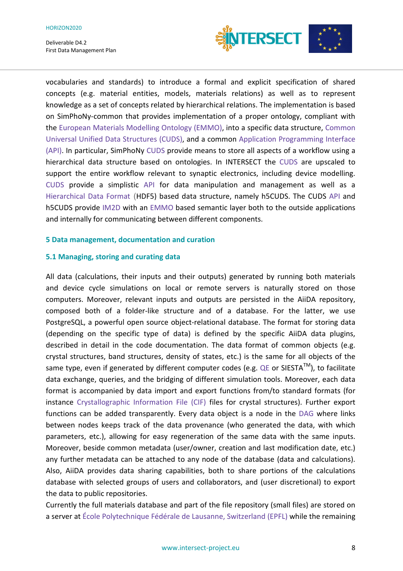

vocabularies and standards) to introduce a formal and explicit specification of shared concepts (e.g. material entities, models, materials relations) as well as to represent knowledge as a set of concepts related by hierarchical relations. The implementation is based on SimPhoNy-common that provides implementation of a proper ontology, compliant with the European Materials Modelling Ontology (EMMO), into a specific data structure, Common Universal Unified Data Structures (CUDS), and a common Application Programming Interface (API). In particular, SimPhoNy CUDS provide means to store all aspects of a workflow using a hierarchical data structure based on ontologies. In INTERSECT the CUDS are upscaled to support the entire workflow relevant to synaptic electronics, including device modelling. CUDS provide a simplistic API for data manipulation and management as well as a Hierarchical Data Format (HDF5) based data structure, namely h5CUDS. The CUDS API and h5CUDS provide IM2D with an EMMO based semantic layer both to the outside applications and internally for communicating between different components.

#### **5 Data management, documentation and curation**

#### **5.1 Managing, storing and curating data**

All data (calculations, their inputs and their outputs) generated by running both materials and device cycle simulations on local or remote servers is naturally stored on those computers. Moreover, relevant inputs and outputs are persisted in the AiiDA repository, composed both of a folder-like structure and of a database. For the latter, we use PostgreSQL, a powerful open source object-relational database. The format for storing data (depending on the specific type of data) is defined by the specific AiiDA data plugins, described in detail in the code documentation. The data format of common objects (e.g. crystal structures, band structures, density of states, etc.) is the same for all objects of the same type, even if generated by different computer codes (e.g. QE or SIESTA<sup>TM</sup>), to facilitate data exchange, queries, and the bridging of different simulation tools. Moreover, each data format is accompanied by data import and export functions from/to standard formats (for instance Crystallographic Information File (CIF) files for crystal structures). Further export functions can be added transparently. Every data object is a node in the DAG where links between nodes keeps track of the data provenance (who generated the data, with which parameters, etc.), allowing for easy regeneration of the same data with the same inputs. Moreover, beside common metadata (user/owner, creation and last modification date, etc.) any further metadata can be attached to any node of the database (data and calculations). Also, AiiDA provides data sharing capabilities, both to share portions of the calculations database with selected groups of users and collaborators, and (user discretional) to export the data to public repositories.

Currently the full materials database and part of the file repository (small files) are stored on a server at École Polytechnique Fédérale de Lausanne, Switzerland (EPFL) while the remaining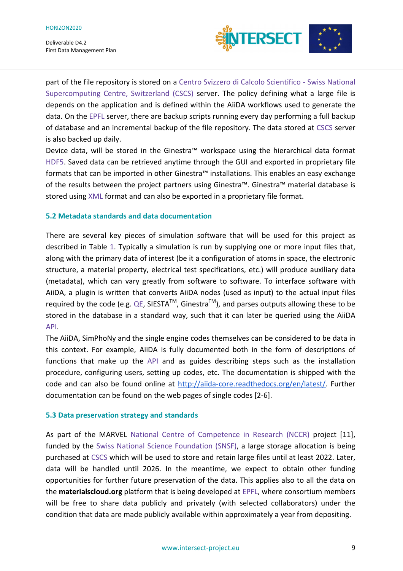

part of the file repository is stored on a Centro Svizzero di Calcolo Scientifico - Swiss National Supercomputing Centre, Switzerland (CSCS) server. The policy defining what a large file is depends on the application and is defined within the AiiDA workflows used to generate the data. On the EPFL server, there are backup scripts running every day performing a full backup of database and an incremental backup of the file repository. The data stored at CSCS server is also backed up daily.

Device data, will be stored in the Ginestra™ workspace using the hierarchical data format HDF5. Saved data can be retrieved anytime through the GUI and exported in proprietary file formats that can be imported in other Ginestra™ installations. This enables an easy exchange of the results between the project partners using Ginestra™. Ginestra™ material database is stored using XML format and can also be exported in a proprietary file format.

### **5.2 Metadata standards and data documentation**

There are several key pieces of simulation software that will be used for this project as described in Table 1. Typically a simulation is run by supplying one or more input files that, along with the primary data of interest (be it a configuration of atoms in space, the electronic structure, a material property, electrical test specifications, etc.) will produce auxiliary data (metadata), which can vary greatly from software to software. To interface software with AiiDA, a plugin is written that converts AiiDA nodes (used as input) to the actual input files required by the code (e.g. QE, SIESTA<sup>TM</sup>, Ginestra<sup>TM</sup>), and parses outputs allowing these to be stored in the database in a standard way, such that it can later be queried using the AiiDA API.

The AiiDA, SimPhoNy and the single engine codes themselves can be considered to be data in this context. For example, AiiDA is fully documented both in the form of descriptions of functions that make up the API and as guides describing steps such as the installation procedure, configuring users, setting up codes, etc. The documentation is shipped with the code and can also be found online at http://aiida-core.readthedocs.org/en/latest/. Further documentation can be found on the web pages of single codes [2-6].

### **5.3 Data preservation strategy and standards**

As part of the MARVEL National Centre of Competence in Research (NCCR) project [11], funded by the Swiss National Science Foundation (SNSF), a large storage allocation is being purchased at CSCS which will be used to store and retain large files until at least 2022. Later, data will be handled until 2026. In the meantime, we expect to obtain other funding opportunities for further future preservation of the data. This applies also to all the data on the **materialscloud.org** platform that is being developed at EPFL, where consortium members will be free to share data publicly and privately (with selected collaborators) under the condition that data are made publicly available within approximately a year from depositing.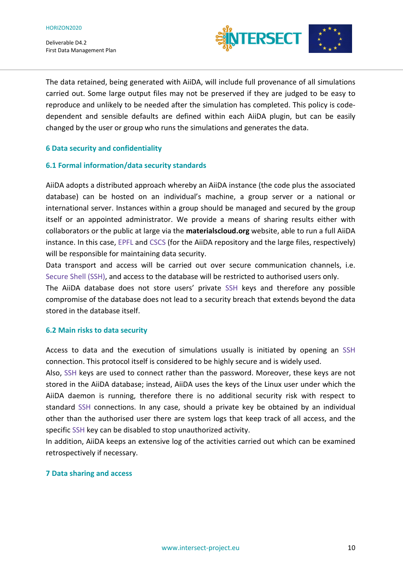

The data retained, being generated with AiiDA, will include full provenance of all simulations carried out. Some large output files may not be preserved if they are judged to be easy to reproduce and unlikely to be needed after the simulation has completed. This policy is codedependent and sensible defaults are defined within each AiiDA plugin, but can be easily changed by the user or group who runs the simulations and generates the data.

### **6 Data security and confidentiality**

#### **6.1 Formal information/data security standards**

AiiDA adopts a distributed approach whereby an AiiDA instance (the code plus the associated database) can be hosted on an individual's machine, a group server or a national or international server. Instances within a group should be managed and secured by the group itself or an appointed administrator. We provide a means of sharing results either with collaborators or the public at large via the **materialscloud.org** website, able to run a full AiiDA instance. In this case, EPFL and CSCS (for the AiiDA repository and the large files, respectively) will be responsible for maintaining data security.

Data transport and access will be carried out over secure communication channels, i.e. Secure Shell (SSH), and access to the database will be restricted to authorised users only.

The AiiDA database does not store users' private SSH keys and therefore any possible compromise of the database does not lead to a security breach that extends beyond the data stored in the database itself.

#### **6.2 Main risks to data security**

Access to data and the execution of simulations usually is initiated by opening an SSH connection. This protocol itself is considered to be highly secure and is widely used.

Also, SSH keys are used to connect rather than the password. Moreover, these keys are not stored in the AiiDA database; instead, AiiDA uses the keys of the Linux user under which the AiiDA daemon is running, therefore there is no additional security risk with respect to standard SSH connections. In any case, should a private key be obtained by an individual other than the authorised user there are system logs that keep track of all access, and the specific SSH key can be disabled to stop unauthorized activity.

In addition, AiiDA keeps an extensive log of the activities carried out which can be examined retrospectively if necessary.

#### **7 Data sharing and access**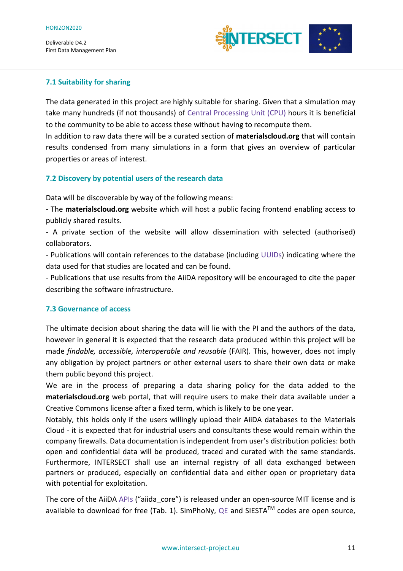

## **7.1 Suitability for sharing**

The data generated in this project are highly suitable for sharing. Given that a simulation may take many hundreds (if not thousands) of Central Processing Unit (CPU) hours it is beneficial to the community to be able to access these without having to recompute them.

In addition to raw data there will be a curated section of **materialscloud.org** that will contain results condensed from many simulations in a form that gives an overview of particular properties or areas of interest.

## **7.2 Discovery by potential users of the research data**

Data will be discoverable by way of the following means:

- The **materialscloud.org** website which will host a public facing frontend enabling access to publicly shared results.

- A private section of the website will allow dissemination with selected (authorised) collaborators.

- Publications will contain references to the database (including UUIDs) indicating where the data used for that studies are located and can be found.

- Publications that use results from the AiiDA repository will be encouraged to cite the paper describing the software infrastructure.

### **7.3 Governance of access**

The ultimate decision about sharing the data will lie with the PI and the authors of the data, however in general it is expected that the research data produced within this project will be made *findable, accessible, interoperable and reusable* (FAIR). This, however, does not imply any obligation by project partners or other external users to share their own data or make them public beyond this project.

We are in the process of preparing a data sharing policy for the data added to the **materialscloud.org** web portal, that will require users to make their data available under a Creative Commons license after a fixed term, which is likely to be one year.

Notably, this holds only if the users willingly upload their AiiDA databases to the Materials Cloud - it is expected that for industrial users and consultants these would remain within the company firewalls. Data documentation is independent from user's distribution policies: both open and confidential data will be produced, traced and curated with the same standards. Furthermore, INTERSECT shall use an internal registry of all data exchanged between partners or produced, especially on confidential data and either open or proprietary data with potential for exploitation.

The core of the AiiDA APIs ("aiida core") is released under an open-source MIT license and is available to download for free (Tab. 1). SimPhoNy, QE and SIESTA<sup>TM</sup> codes are open source,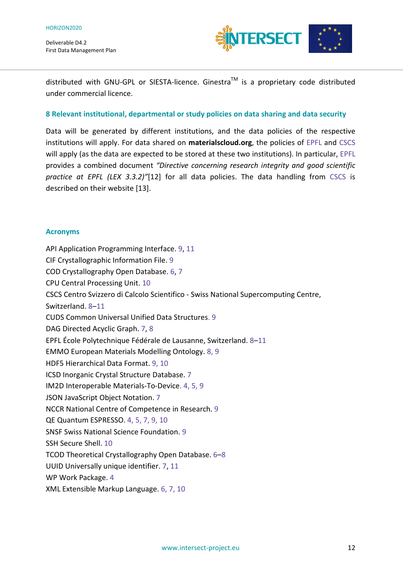

distributed with GNU-GPL or SIESTA-licence. Ginestra™ is a proprietary code distributed under commercial licence.

### **8 Relevant institutional, departmental or study policies on data sharing and data security**

Data will be generated by different institutions, and the data policies of the respective institutions will apply. For data shared on **materialscloud.org**, the policies of EPFL and CSCS will apply (as the data are expected to be stored at these two institutions). In particular, EPFL provides a combined document *"Directive concerning research integrity and good scientific practice at EPFL (LEX 3.3.2)"*[12] for all data policies. The data handling from CSCS is described on their website [13].

#### **Acronyms**

API Application Programming Interface. 9, 11 CIF Crystallographic Information File. 9 COD Crystallography Open Database. 6, 7 CPU Central Processing Unit. 10 CSCS Centro Svizzero di Calcolo Scientifico - Swiss National Supercomputing Centre, Switzerland. 8–11 CUDS Common Universal Unified Data Structures. 9 DAG Directed Acyclic Graph. 7, 8 EPFL École Polytechnique Fédérale de Lausanne, Switzerland. 8–11 EMMO European Materials Modelling Ontology. 8, 9 HDF5 Hierarchical Data Format. 9, 10 ICSD Inorganic Crystal Structure Database. 7 IM2D Interoperable Materials-To-Device. 4, 5, 9 JSON JavaScript Object Notation. 7 NCCR National Centre of Competence in Research. 9 QE Quantum ESPRESSO. 4, 5, 7, 9, 10 SNSF Swiss National Science Foundation. 9 SSH Secure Shell. 10 TCOD Theoretical Crystallography Open Database. 6–8 UUID Universally unique identifier. 7, 11 WP Work Package. 4 XML Extensible Markup Language. 6, 7, 10